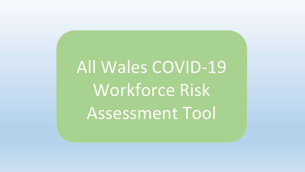# All Wales COVID-19 Workforce Risk Assessment Tool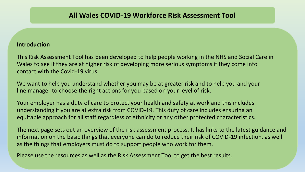## **Introduction**

This Risk Assessment Tool has been developed to help people working in the NHS and Social Care in Wales to see if they are at higher risk of developing more serious symptoms if they come into contact with the Covid-19 virus.

We want to help you understand whether you may be at greater risk and to help you and your line manager to choose the right actions for you based on your level of risk.

Your employer has a duty of care to protect your health and safety at work and this includes understanding if you are at extra risk from COVID-19. This duty of care includes ensuring an equitable approach for all staff regardless of ethnicity or any other protected characteristics.

The next page sets out an overview of the risk assessment process. It has links to the latest guidance and information on the basic things that everyone can do to reduce their risk of COVID-19 infection, as well as the things that employers must do to support people who work for them.

Please use the resources as well as the Risk Assessment Tool to get the best results.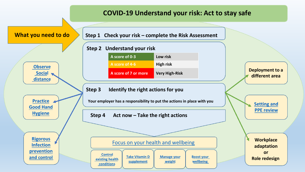## **COVID-19 Understand your risk: Act to stay safe**

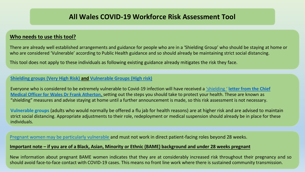## **All Wales COVID-19 Workforce Risk Assessment Tool**

#### **Who needs to use this tool?**

There are already well established arrangements and guidance for people who are in a 'Shielding Group' who should be staying at home or who are considered 'Vulnerable' according to Public Health guidance and so should already be maintaining strict social distancing.

This tool does not apply to these individuals as following existing guidance already mitigates the risk they face.

#### **[Shielding groups \(Very High Risk\) a](https://gov.wales/guidance-on-shielding-and-protecting-people-defined-on-medical-grounds-as-extremely-vulnerable-from-coronavirus-covid-19-html)nd [Vulnerable Groups \(High risk\)](https://gov.wales/coronavirus-social-distancing-guidance#section-38138)**

[Everyone who is considered to be extremely vulnerable to Covid-19 infection will have received a](https://gov.wales/cmo-letter-extremely-vulnerable-people-support-explained) 'shielding ' **letter from the Chief Medical Officer for Wales Dr Frank Atherton**[, setting out the steps you should take to protect your health. These are known as](https://gov.wales/cmo-letter-extremely-vulnerable-people-support-explained) "shielding" measures and advise staying at home until a further announcement is made, so this risk assessment is not necessary.

**Vulnerable groups** (adults who would normally be offered a flu jab for health reasons) are at higher risk and are advised to maintain strict social distancing. Appropriate adjustments to their role, redeployment or medical suspension should already be in place for these individuals.

[Pregnant women may be particularly vulnerable a](https://www.rcog.org.uk/en/guidelines-research-services/coronavirus-covid-19-pregnancy-and-womens-health/)nd must not work in direct patient-facing roles beyond 28 weeks.

#### **Important note – if you are of a Black, Asian, Minority or Ethnic (BAME) background and under 28 weeks pregnant**

New information about pregnant BAME women indicates that they are at considerably increased risk throughout their pregnancy and so should avoid face-to-face contact with COVID-19 cases. This means no front line work where there is sustained community transmission.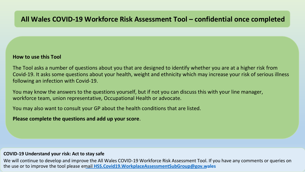#### **How to use this Tool**

The Tool asks a number of questions about you that are designed to identify whether you are at a higher risk from Covid-19. It asks some questions about your health, weight and ethnicity which may increase your risk of serious illness following an infection with Covid-19.

You may know the answers to the questions yourself, but if not you can discuss this with your line manager, workforce team, union representative, Occupational Health or advocate.

You may also want to consult your GP about the health conditions that are listed.

**Please complete the questions and add up your score**.

#### **COVID-19 Understand your risk: Act to stay safe**

We will continue to develop and improve the All Wales COVID-19 Workforce Risk Assessment Tool. If you have any comments or queries on the use or to improve the tool please email **[HSS.Covid19.WorkplaceAssessmentSubGroup@gov.wales](mailto:HSS.Covid19.WorkplaceAssessmentSubGroup@gov.wales)**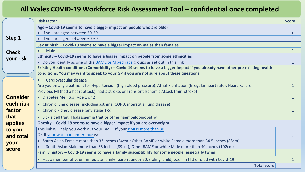|                 | <b>Risk factor</b>                                                                                                              | <b>Score</b>   |  |  |
|-----------------|---------------------------------------------------------------------------------------------------------------------------------|----------------|--|--|
|                 | Age - Covid-19 seems to have a bigger impact on people who are older                                                            |                |  |  |
| Step 1          | • If you are aged between 50-59                                                                                                 | $\mathbf{1}$   |  |  |
|                 | • If you are aged between 60-69                                                                                                 | $\overline{2}$ |  |  |
|                 | Sex at birth - Covid-19 seems to have a bigger impact on males than females                                                     |                |  |  |
| <b>Check</b>    | <b>Male</b>                                                                                                                     | $\mathbf{1}$   |  |  |
| your risk       | Ethnicity - Covid-19 seems to have a bigger impact on people from some ethnicities                                              |                |  |  |
|                 | • Do you identify as one of the BAME or Mixed race groups as set out in this link                                               | $\mathbf{1}$   |  |  |
|                 | Existing Health conditions (Comorbidity) - Covid-19 seems to have a bigger impact if you already have other pre-existing health |                |  |  |
|                 | conditions. You may want to speak to your GP if you are not sure about these questions                                          |                |  |  |
|                 | Cardiovascular disease                                                                                                          |                |  |  |
|                 | Are you on any treatment for Hypertension (high blood pressure), Atrial Fibrillation (Irregular heart rate), Heart Failure,     |                |  |  |
|                 | Previous MI (had a heart attack), had a stroke, or Transient Ischemic Attack (mini stroke)                                      |                |  |  |
| <b>Consider</b> | • Diabetes Mellitus Type 1 or 2                                                                                                 | $\mathbf{1}$   |  |  |
| each risk       | • Chronic lung disease (including asthma, COPD, interstitial lung disease)                                                      | $\mathbf{1}$   |  |  |
| factor          | • Chronic kidney disease (any stage 1-5)                                                                                        | $\mathbf{1}$   |  |  |
| that            | • Sickle cell trait, Thalassaemia trait or other haemoglobinopathy                                                              | $\mathbf{1}$   |  |  |
| applies         | Obesity – Covid-19 seems to have a bigger impact if you are overweight                                                          |                |  |  |
| to you          | This link will help you work out your BMI - if your BMI is more than 30                                                         |                |  |  |
| and total       | OR If your waist circumference is:                                                                                              |                |  |  |
| your            | • South Asian Female more than 33 inches (84cm); Other BAME or white Female more than 34.5 inches (88cm)                        |                |  |  |
| score           | South Asian Male more than 35 inches (89cm); Other BAME or white Male more than 40 inches (102cm)                               |                |  |  |
|                 | Family history - Covid-19 seems to have a family susceptibility for some people, especially twins                               |                |  |  |
|                 | • Has a member of your immediate family (parent under 70, sibling, child) been in ITU or died with Covid-19                     | 1              |  |  |
|                 | <b>Total score</b>                                                                                                              |                |  |  |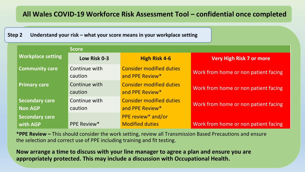## **Step 2 Understand your risk – what your score means in your workplace setting**

|                            | <b>Score</b>             |                                                     |                                      |
|----------------------------|--------------------------|-----------------------------------------------------|--------------------------------------|
| <b>Workplace setting</b>   | Low Risk 0-3             | <b>High Risk 4-6</b>                                | <b>Very High Risk 7 or more</b>      |
| <b>Community care</b>      | Continue with<br>caution | <b>Consider modified duties</b><br>and PPE Review*  | Work from home or non patient facing |
| <b>Primary care</b>        | Continue with<br>caution | <b>Consider modified duties</b><br>and PPE Review*  | Work from home or non patient facing |
| Secondary care<br>Non AGP  | Continue with<br>caution | <b>Consider modified duties</b><br>and PPE Review*  | Work from home or non patient facing |
| Secondary care<br>with AGP | <b>PPE Review*</b>       | <b>PPE review* and/or</b><br><b>Modified duties</b> | Work from home or non patient facing |

**\*PPE Review –** This should consider the work setting, review all Transmission Based Precautions and ensure the selection and correct use of PPE including training and fit testing.

**Now arrange a time to discuss with your line manager to agree a plan and ensure you are appropriately protected. This may include a discussion with Occupational Health.**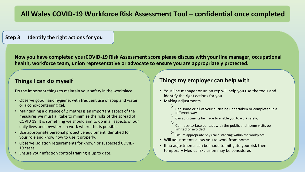#### **Step 3 Identify the right actions for you**

**Now you have completed yourCOVID-19 Risk Assessment score please discuss with your line manager, occupational health, workforce team, union representative or advocate to ensure you are appropriately protected.**

## **Things I can do myself**

Do the important things to maintain your safety in the workplace

- Observe good hand hygiene, with frequent use of soap and water or alcohol-containing gel.
- Maintaining a distance of 2 metres is an important aspect of the measures we must all take to minimise the risks of the spread of COVID 19. It is something we should aim to do in all aspects of our daily lives and anywhere in work where this is possible.
- Use appropriate personal protective equipment identified for your role and know how to use it properly.
- Observe isolation requirements for known or suspected COVID-19 cases.
- Ensure your infection control training is up to date.

## **Things my employer can help with**

- Your line manager or union rep will help you use the tools and identify the right actions for you.
- Making adjustments
	- Can some or all of your duties be undertaken or completed in a different way

Can adjustments be made to enable you to work safely,

- Can face-to-face contact with the public and home visits be limited or avoided
- Ensure appropriate physical distancing within the workplace
- Will adjustments allow you to work from home
- If no adjustments can be made to mitigate your risk then temporary Medical Exclusion may be considered.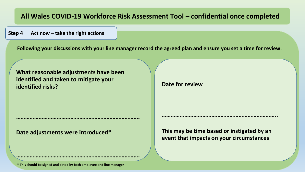**Step 4 Act now – take the right actions**

**Following your discussions with your line manager record the agreed plan and ensure you set a time for review.**

**What reasonable adjustments have been identified and taken to mitigate your identified risks?**

**……………………………………………………………………….**

**……………………………………………………………………….**

**Date adjustments were introduced\***

**Date for review**

**This may be time based or instigated by an event that impacts on your circumstances**

**…………………………………………………………………..**

**\* This should be signed and dated by both employee and line manager**